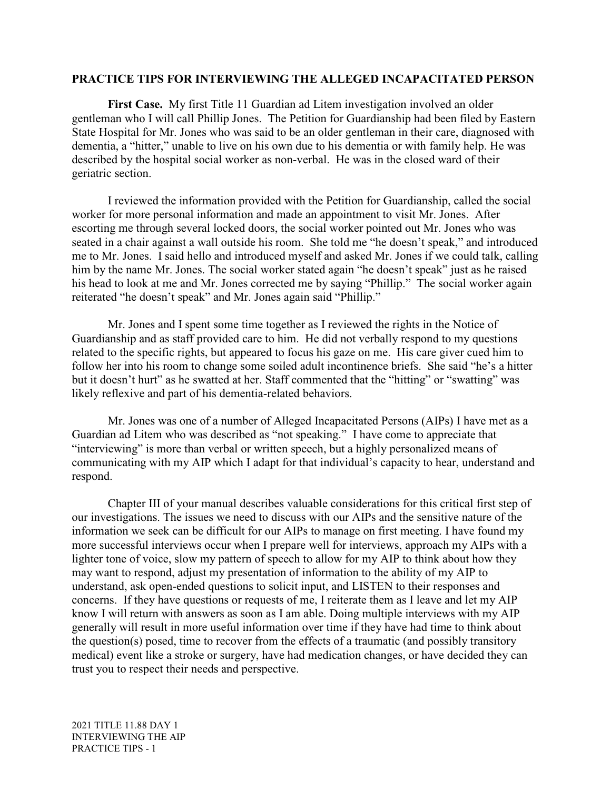#### **PRACTICE TIPS FOR INTERVIEWING THE ALLEGED INCAPACITATED PERSON**

**First Case.** My first Title 11 Guardian ad Litem investigation involved an older gentleman who I will call Phillip Jones. The Petition for Guardianship had been filed by Eastern State Hospital for Mr. Jones who was said to be an older gentleman in their care, diagnosed with dementia, a "hitter," unable to live on his own due to his dementia or with family help. He was described by the hospital social worker as non-verbal. He was in the closed ward of their geriatric section.

I reviewed the information provided with the Petition for Guardianship, called the social worker for more personal information and made an appointment to visit Mr. Jones. After escorting me through several locked doors, the social worker pointed out Mr. Jones who was seated in a chair against a wall outside his room. She told me "he doesn't speak," and introduced me to Mr. Jones. I said hello and introduced myself and asked Mr. Jones if we could talk, calling him by the name Mr. Jones. The social worker stated again "he doesn't speak" just as he raised his head to look at me and Mr. Jones corrected me by saying "Phillip." The social worker again reiterated "he doesn't speak" and Mr. Jones again said "Phillip."

Mr. Jones and I spent some time together as I reviewed the rights in the Notice of Guardianship and as staff provided care to him. He did not verbally respond to my questions related to the specific rights, but appeared to focus his gaze on me. His care giver cued him to follow her into his room to change some soiled adult incontinence briefs. She said "he's a hitter but it doesn't hurt" as he swatted at her. Staff commented that the "hitting" or "swatting" was likely reflexive and part of his dementia-related behaviors.

Mr. Jones was one of a number of Alleged Incapacitated Persons (AIPs) I have met as a Guardian ad Litem who was described as "not speaking." I have come to appreciate that "interviewing" is more than verbal or written speech, but a highly personalized means of communicating with my AIP which I adapt for that individual's capacity to hear, understand and respond.

Chapter III of your manual describes valuable considerations for this critical first step of our investigations. The issues we need to discuss with our AIPs and the sensitive nature of the information we seek can be difficult for our AIPs to manage on first meeting. I have found my more successful interviews occur when I prepare well for interviews, approach my AIPs with a lighter tone of voice, slow my pattern of speech to allow for my AIP to think about how they may want to respond, adjust my presentation of information to the ability of my AIP to understand, ask open-ended questions to solicit input, and LISTEN to their responses and concerns. If they have questions or requests of me, I reiterate them as I leave and let my AIP know I will return with answers as soon as I am able. Doing multiple interviews with my AIP generally will result in more useful information over time if they have had time to think about the question(s) posed, time to recover from the effects of a traumatic (and possibly transitory medical) event like a stroke or surgery, have had medication changes, or have decided they can trust you to respect their needs and perspective.

2021 TITLE 11.88 DAY 1 INTERVIEWING THE AIP PRACTICE TIPS - 1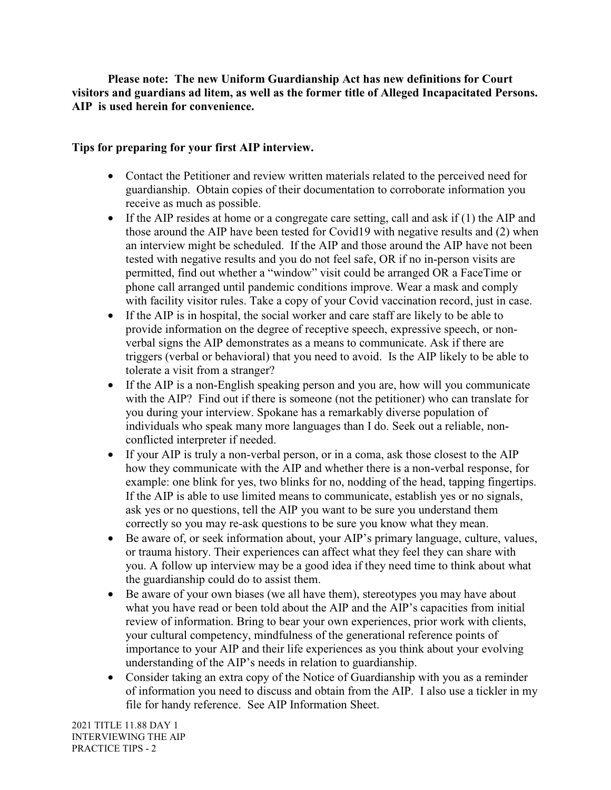**Please note: The new Uniform Guardianship Act has new definitions for Court visitors and guardians ad litem, as well as the former title of Alleged Incapacitated Persons. AIP is used herein for convenience.**

# **Tips for preparing for your first AIP interview.**

- Contact the Petitioner and review written materials related to the perceived need for guardianship. Obtain copies of their documentation to corroborate information you receive as much as possible.
- If the AIP resides at home or a congregate care setting, call and ask if  $(1)$  the AIP and those around the AIP have been tested for Covid19 with negative results and (2) when an interview might be scheduled. If the AIP and those around the AIP have not been tested with negative results and you do not feel safe, OR if no in-person visits are permitted, find out whether a "window" visit could be arranged OR a FaceTime or phone call arranged until pandemic conditions improve. Wear a mask and comply with facility visitor rules. Take a copy of your Covid vaccination record, just in case.
- If the AIP is in hospital, the social worker and care staff are likely to be able to provide information on the degree of receptive speech, expressive speech, or nonverbal signs the AIP demonstrates as a means to communicate. Ask if there are triggers (verbal or behavioral) that you need to avoid. Is the AIP likely to be able to tolerate a visit from a stranger?
- If the AIP is a non-English speaking person and you are, how will you communicate with the AIP? Find out if there is someone (not the petitioner) who can translate for you during your interview. Spokane has a remarkably diverse population of individuals who speak many more languages than I do. Seek out a reliable, nonconflicted interpreter if needed.
- If your AIP is truly a non-verbal person, or in a coma, ask those closest to the AIP how they communicate with the AIP and whether there is a non-verbal response, for example: one blink for yes, two blinks for no, nodding of the head, tapping fingertips. If the AIP is able to use limited means to communicate, establish yes or no signals, ask yes or no questions, tell the AIP you want to be sure you understand them correctly so you may re-ask questions to be sure you know what they mean.
- Be aware of, or seek information about, your AIP's primary language, culture, values, or trauma history. Their experiences can affect what they feel they can share with you. A follow up interview may be a good idea if they need time to think about what the guardianship could do to assist them.
- Be aware of your own biases (we all have them), stereotypes you may have about what you have read or been told about the AIP and the AIP's capacities from initial review of information. Bring to bear your own experiences, prior work with clients, your cultural competency, mindfulness of the generational reference points of importance to your AIP and their life experiences as you think about your evolving understanding of the AIP's needs in relation to guardianship.
- Consider taking an extra copy of the Notice of Guardianship with you as a reminder of information you need to discuss and obtain from the AIP. I also use a tickler in my file for handy reference. See AIP Information Sheet.

2021 TITLE 11.88 DAY 1 INTERVIEWING THE AIP PRACTICE TIPS - 2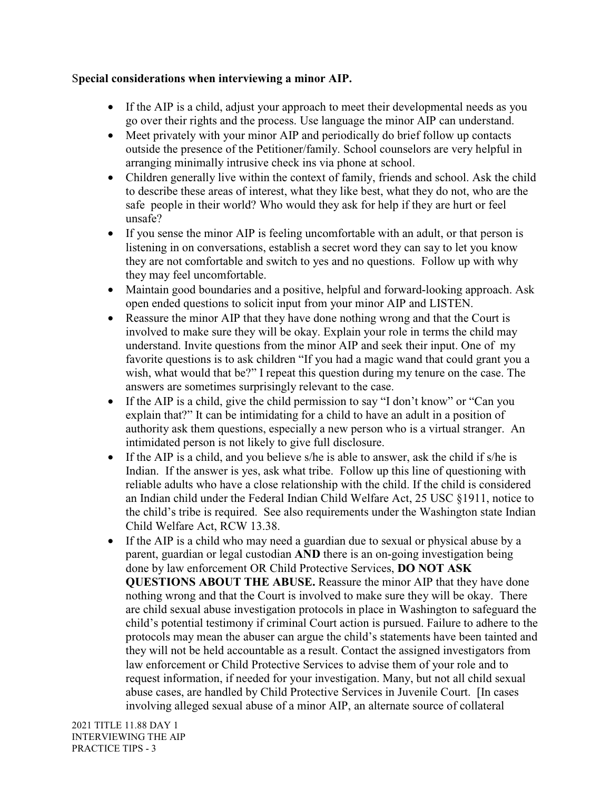## S**pecial considerations when interviewing a minor AIP.**

- If the AIP is a child, adjust your approach to meet their developmental needs as you go over their rights and the process. Use language the minor AIP can understand.
- Meet privately with your minor AIP and periodically do brief follow up contacts outside the presence of the Petitioner/family. School counselors are very helpful in arranging minimally intrusive check ins via phone at school.
- Children generally live within the context of family, friends and school. Ask the child to describe these areas of interest, what they like best, what they do not, who are the safe people in their world? Who would they ask for help if they are hurt or feel unsafe?
- If you sense the minor AIP is feeling uncomfortable with an adult, or that person is listening in on conversations, establish a secret word they can say to let you know they are not comfortable and switch to yes and no questions. Follow up with why they may feel uncomfortable.
- Maintain good boundaries and a positive, helpful and forward-looking approach. Ask open ended questions to solicit input from your minor AIP and LISTEN.
- Reassure the minor AIP that they have done nothing wrong and that the Court is involved to make sure they will be okay. Explain your role in terms the child may understand. Invite questions from the minor AIP and seek their input. One of my favorite questions is to ask children "If you had a magic wand that could grant you a wish, what would that be?" I repeat this question during my tenure on the case. The answers are sometimes surprisingly relevant to the case.
- If the AIP is a child, give the child permission to say "I don't know" or "Can you explain that?" It can be intimidating for a child to have an adult in a position of authority ask them questions, especially a new person who is a virtual stranger. An intimidated person is not likely to give full disclosure.
- If the AIP is a child, and you believe s/he is able to answer, ask the child if s/he is Indian. If the answer is yes, ask what tribe. Follow up this line of questioning with reliable adults who have a close relationship with the child. If the child is considered an Indian child under the Federal Indian Child Welfare Act, 25 USC §1911, notice to the child's tribe is required. See also requirements under the Washington state Indian Child Welfare Act, RCW 13.38.
- If the AIP is a child who may need a guardian due to sexual or physical abuse by a parent, guardian or legal custodian **AND** there is an on-going investigation being done by law enforcement OR Child Protective Services, **DO NOT ASK QUESTIONS ABOUT THE ABUSE.** Reassure the minor AIP that they have done nothing wrong and that the Court is involved to make sure they will be okay. There are child sexual abuse investigation protocols in place in Washington to safeguard the child's potential testimony if criminal Court action is pursued. Failure to adhere to the protocols may mean the abuser can argue the child's statements have been tainted and they will not be held accountable as a result. Contact the assigned investigators from law enforcement or Child Protective Services to advise them of your role and to request information, if needed for your investigation. Many, but not all child sexual abuse cases, are handled by Child Protective Services in Juvenile Court. [In cases involving alleged sexual abuse of a minor AIP, an alternate source of collateral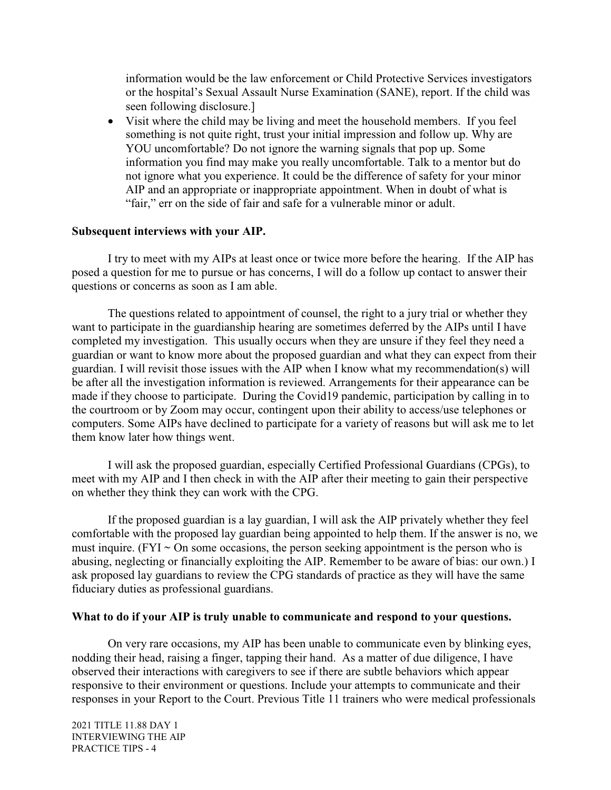information would be the law enforcement or Child Protective Services investigators or the hospital's Sexual Assault Nurse Examination (SANE), report. If the child was seen following disclosure.]

• Visit where the child may be living and meet the household members. If you feel something is not quite right, trust your initial impression and follow up. Why are YOU uncomfortable? Do not ignore the warning signals that pop up. Some information you find may make you really uncomfortable. Talk to a mentor but do not ignore what you experience. It could be the difference of safety for your minor AIP and an appropriate or inappropriate appointment. When in doubt of what is "fair," err on the side of fair and safe for a vulnerable minor or adult.

## **Subsequent interviews with your AIP.**

I try to meet with my AIPs at least once or twice more before the hearing. If the AIP has posed a question for me to pursue or has concerns, I will do a follow up contact to answer their questions or concerns as soon as I am able.

The questions related to appointment of counsel, the right to a jury trial or whether they want to participate in the guardianship hearing are sometimes deferred by the AIPs until I have completed my investigation. This usually occurs when they are unsure if they feel they need a guardian or want to know more about the proposed guardian and what they can expect from their guardian. I will revisit those issues with the AIP when I know what my recommendation(s) will be after all the investigation information is reviewed. Arrangements for their appearance can be made if they choose to participate. During the Covid19 pandemic, participation by calling in to the courtroom or by Zoom may occur, contingent upon their ability to access/use telephones or computers. Some AIPs have declined to participate for a variety of reasons but will ask me to let them know later how things went.

I will ask the proposed guardian, especially Certified Professional Guardians (CPGs), to meet with my AIP and I then check in with the AIP after their meeting to gain their perspective on whether they think they can work with the CPG.

If the proposed guardian is a lay guardian, I will ask the AIP privately whether they feel comfortable with the proposed lay guardian being appointed to help them. If the answer is no, we must inquire. (FYI  $\sim$  On some occasions, the person seeking appointment is the person who is abusing, neglecting or financially exploiting the AIP. Remember to be aware of bias: our own.) I ask proposed lay guardians to review the CPG standards of practice as they will have the same fiduciary duties as professional guardians.

#### **What to do if your AIP is truly unable to communicate and respond to your questions.**

On very rare occasions, my AIP has been unable to communicate even by blinking eyes, nodding their head, raising a finger, tapping their hand. As a matter of due diligence, I have observed their interactions with caregivers to see if there are subtle behaviors which appear responsive to their environment or questions. Include your attempts to communicate and their responses in your Report to the Court. Previous Title 11 trainers who were medical professionals

2021 TITLE 11.88 DAY 1 INTERVIEWING THE AIP PRACTICE TIPS - 4